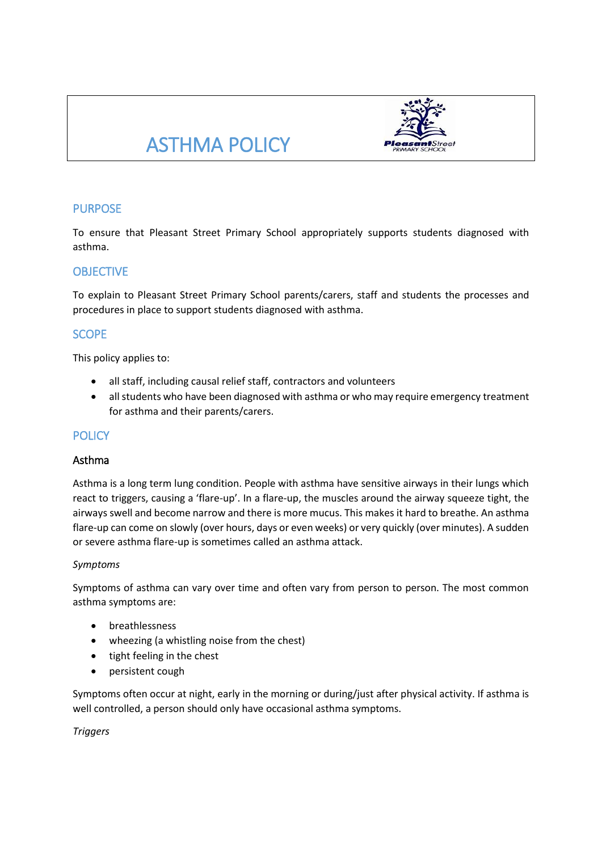# ASTHMA POLICY



# PURPOSE

To ensure that Pleasant Street Primary School appropriately supports students diagnosed with asthma.

## **OBJECTIVE**

To explain to Pleasant Street Primary School parents/carers, staff and students the processes and procedures in place to support students diagnosed with asthma.

## **SCOPE**

This policy applies to:

- all staff, including causal relief staff, contractors and volunteers
- all students who have been diagnosed with asthma or who may require emergency treatment for asthma and their parents/carers.

## **POLICY**

#### Asthma

Asthma is a long term lung condition. People with asthma have sensitive airways in their lungs which react to triggers, causing a 'flare-up'. In a flare-up, the muscles around the airway squeeze tight, the airways swell and become narrow and there is more mucus. This makes it hard to breathe. An asthma flare-up can come on slowly (over hours, days or even weeks) or very quickly (over minutes). A sudden or severe asthma flare-up is sometimes called an asthma attack.

#### *Symptoms*

Symptoms of asthma can vary over time and often vary from person to person. The most common asthma symptoms are:

- **•** breathlessness
- wheezing (a whistling noise from the chest)
- tight feeling in the chest
- persistent cough

Symptoms often occur at night, early in the morning or during/just after physical activity. If asthma is well controlled, a person should only have occasional asthma symptoms.

*Triggers*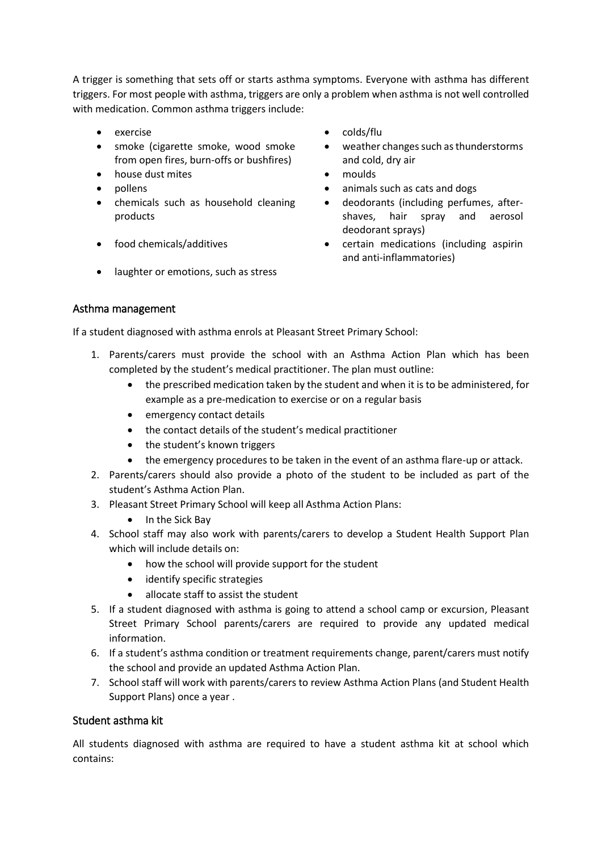A trigger is something that sets off or starts asthma symptoms. Everyone with asthma has different triggers. For most people with asthma, triggers are only a problem when asthma is not well controlled with medication. Common asthma triggers include:

- 
- smoke (cigarette smoke, wood smoke from open fires, burn-offs or bushfires)
- house dust mites **and the set of the moulds contract of the moulds**
- 
- chemicals such as household cleaning products
- 
- laughter or emotions, such as stress
- exercise **colds/flu** 
	- weather changes such as thunderstorms and cold, dry air
	-
- pollens **but a nimally such as cats and dogs** animals such as cats and dogs
	- deodorants (including perfumes, aftershaves, hair spray and aerosol deodorant sprays)
- food chemicals/additives certain medications (including aspirin and anti-inflammatories)

### Asthma management

If a student diagnosed with asthma enrols at Pleasant Street Primary School:

- 1. Parents/carers must provide the school with an Asthma Action Plan which has been completed by the student's medical practitioner. The plan must outline:
	- the prescribed medication taken by the student and when it is to be administered, for example as a pre-medication to exercise or on a regular basis
	- emergency contact details
	- the contact details of the student's medical practitioner
	- the student's known triggers
	- the emergency procedures to be taken in the event of an asthma flare-up or attack.
- 2. Parents/carers should also provide a photo of the student to be included as part of the student's Asthma Action Plan.
- 3. Pleasant Street Primary School will keep all Asthma Action Plans:
	- In the Sick Bay
- 4. School staff may also work with parents/carers to develop a Student Health Support Plan which will include details on:
	- how the school will provide support for the student
	- identify specific strategies
	- allocate staff to assist the student
- 5. If a student diagnosed with asthma is going to attend a school camp or excursion, Pleasant Street Primary School parents/carers are required to provide any updated medical information.
- 6. If a student's asthma condition or treatment requirements change, parent/carers must notify the school and provide an updated Asthma Action Plan.
- 7. School staff will work with parents/carers to review Asthma Action Plans (and Student Health Support Plans) once a year .

## Student asthma kit

All students diagnosed with asthma are required to have a student asthma kit at school which contains: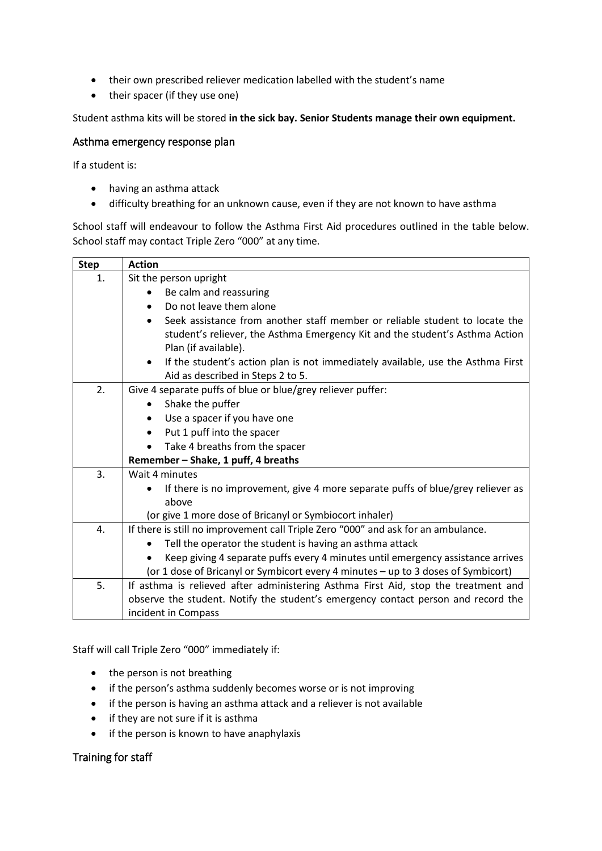- their own prescribed reliever medication labelled with the student's name
- their spacer (if they use one)

Student asthma kits will be stored **in the sick bay. Senior Students manage their own equipment.**

#### Asthma emergency response plan

If a student is:

- having an asthma attack
- difficulty breathing for an unknown cause, even if they are not known to have asthma

School staff will endeavour to follow the Asthma First Aid procedures outlined in the table below. School staff may contact Triple Zero "000" at any time.

| <b>Step</b> | <b>Action</b>                                                                                |  |  |  |  |  |
|-------------|----------------------------------------------------------------------------------------------|--|--|--|--|--|
| 1.          | Sit the person upright                                                                       |  |  |  |  |  |
|             | Be calm and reassuring                                                                       |  |  |  |  |  |
|             | Do not leave them alone<br>$\bullet$                                                         |  |  |  |  |  |
|             | Seek assistance from another staff member or reliable student to locate the<br>$\bullet$     |  |  |  |  |  |
|             | student's reliever, the Asthma Emergency Kit and the student's Asthma Action                 |  |  |  |  |  |
|             | Plan (if available).                                                                         |  |  |  |  |  |
|             | If the student's action plan is not immediately available, use the Asthma First<br>$\bullet$ |  |  |  |  |  |
|             | Aid as described in Steps 2 to 5.                                                            |  |  |  |  |  |
| 2.          | Give 4 separate puffs of blue or blue/grey reliever puffer:                                  |  |  |  |  |  |
|             | Shake the puffer<br>$\bullet$                                                                |  |  |  |  |  |
|             | Use a spacer if you have one                                                                 |  |  |  |  |  |
|             | Put 1 puff into the spacer<br>$\bullet$                                                      |  |  |  |  |  |
|             | Take 4 breaths from the spacer                                                               |  |  |  |  |  |
|             | Remember - Shake, 1 puff, 4 breaths                                                          |  |  |  |  |  |
| 3.          | Wait 4 minutes                                                                               |  |  |  |  |  |
|             | If there is no improvement, give 4 more separate puffs of blue/grey reliever as              |  |  |  |  |  |
|             | above                                                                                        |  |  |  |  |  |
|             | (or give 1 more dose of Bricanyl or Symbiocort inhaler)                                      |  |  |  |  |  |
| 4.          | If there is still no improvement call Triple Zero "000" and ask for an ambulance.            |  |  |  |  |  |
|             | Tell the operator the student is having an asthma attack                                     |  |  |  |  |  |
|             | Keep giving 4 separate puffs every 4 minutes until emergency assistance arrives              |  |  |  |  |  |
|             | (or 1 dose of Bricanyl or Symbicort every 4 minutes - up to 3 doses of Symbicort)            |  |  |  |  |  |
| 5.          | If asthma is relieved after administering Asthma First Aid, stop the treatment and           |  |  |  |  |  |
|             | observe the student. Notify the student's emergency contact person and record the            |  |  |  |  |  |
|             | incident in Compass                                                                          |  |  |  |  |  |

Staff will call Triple Zero "000" immediately if:

- the person is not breathing
- if the person's asthma suddenly becomes worse or is not improving
- if the person is having an asthma attack and a reliever is not available
- if they are not sure if it is asthma
- if the person is known to have anaphylaxis

#### Training for staff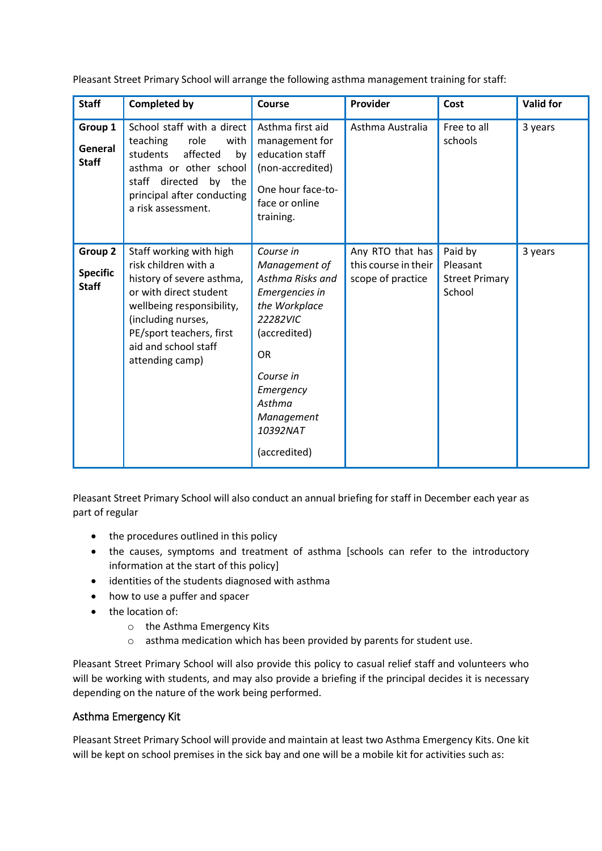Pleasant Street Primary School will arrange the following asthma management training for staff:

| <b>Staff</b>                               | <b>Completed by</b>                                                                                                                                                                                                              | Course                                                                                                                                                                                                   | Provider                                                      | Cost                                                   | <b>Valid for</b> |
|--------------------------------------------|----------------------------------------------------------------------------------------------------------------------------------------------------------------------------------------------------------------------------------|----------------------------------------------------------------------------------------------------------------------------------------------------------------------------------------------------------|---------------------------------------------------------------|--------------------------------------------------------|------------------|
| Group 1<br>General<br><b>Staff</b>         | School staff with a direct<br>teaching<br>role<br>with<br>students<br>affected<br>by<br>asthma or other school<br>staff directed by the<br>principal after conducting<br>a risk assessment.                                      | Asthma first aid<br>management for<br>education staff<br>(non-accredited)<br>One hour face-to-<br>face or online<br>training.                                                                            | Asthma Australia                                              | Free to all<br>schools                                 | 3 years          |
| Group 2<br><b>Specific</b><br><b>Staff</b> | Staff working with high<br>risk children with a<br>history of severe asthma,<br>or with direct student<br>wellbeing responsibility,<br>(including nurses,<br>PE/sport teachers, first<br>aid and school staff<br>attending camp) | Course in<br>Management of<br>Asthma Risks and<br>Emergencies in<br>the Workplace<br>22282VIC<br>(accredited)<br><b>OR</b><br>Course in<br>Emergency<br>Asthma<br>Management<br>10392NAT<br>(accredited) | Any RTO that has<br>this course in their<br>scope of practice | Paid by<br>Pleasant<br><b>Street Primary</b><br>School | 3 years          |

Pleasant Street Primary School will also conduct an annual briefing for staff in December each year as part of regular

- the procedures outlined in this policy
- the causes, symptoms and treatment of asthma [schools can refer to the introductory information at the start of this policy]
- identities of the students diagnosed with asthma
- how to use a puffer and spacer
- the location of:
	- o the Asthma Emergency Kits
	- o asthma medication which has been provided by parents for student use.

Pleasant Street Primary School will also provide this policy to casual relief staff and volunteers who will be working with students, and may also provide a briefing if the principal decides it is necessary depending on the nature of the work being performed.

## Asthma Emergency Kit

Pleasant Street Primary School will provide and maintain at least two Asthma Emergency Kits. One kit will be kept on school premises in the sick bay and one will be a mobile kit for activities such as: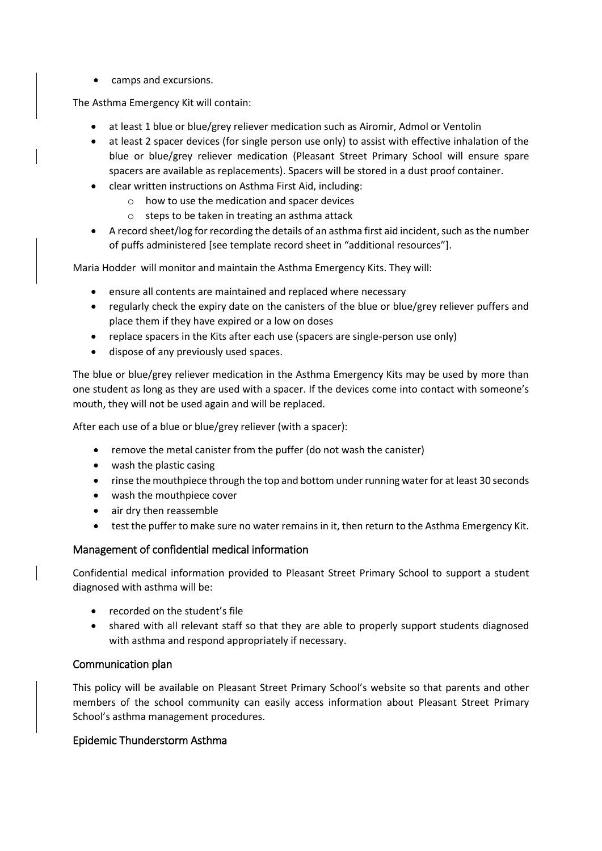camps and excursions.

The Asthma Emergency Kit will contain:

- at least 1 blue or blue/grey reliever medication such as Airomir, Admol or Ventolin
- at least 2 spacer devices (for single person use only) to assist with effective inhalation of the blue or blue/grey reliever medication (Pleasant Street Primary School will ensure spare spacers are available as replacements). Spacers will be stored in a dust proof container.
- clear written instructions on Asthma First Aid, including:
	- o how to use the medication and spacer devices
	- o steps to be taken in treating an asthma attack
- A record sheet/log for recording the details of an asthma first aid incident, such as the number of puffs administered [see template record sheet in "additional resources"].

Maria Hodder will monitor and maintain the Asthma Emergency Kits. They will:

- ensure all contents are maintained and replaced where necessary
- regularly check the expiry date on the canisters of the blue or blue/grey reliever puffers and place them if they have expired or a low on doses
- replace spacers in the Kits after each use (spacers are single-person use only)
- dispose of any previously used spaces.

The blue or blue/grey reliever medication in the Asthma Emergency Kits may be used by more than one student as long as they are used with a spacer. If the devices come into contact with someone's mouth, they will not be used again and will be replaced.

After each use of a blue or blue/grey reliever (with a spacer):

- remove the metal canister from the puffer (do not wash the canister)
- wash the plastic casing
- rinse the mouthpiece through the top and bottom under running water for at least 30 seconds
- wash the mouthpiece cover
- air dry then reassemble
- test the puffer to make sure no water remains in it, then return to the Asthma Emergency Kit.

#### Management of confidential medical information

Confidential medical information provided to Pleasant Street Primary School to support a student diagnosed with asthma will be:

- recorded on the student's file
- shared with all relevant staff so that they are able to properly support students diagnosed with asthma and respond appropriately if necessary.

#### Communication plan

This policy will be available on Pleasant Street Primary School's website so that parents and other members of the school community can easily access information about Pleasant Street Primary School's asthma management procedures.

#### Epidemic Thunderstorm Asthma